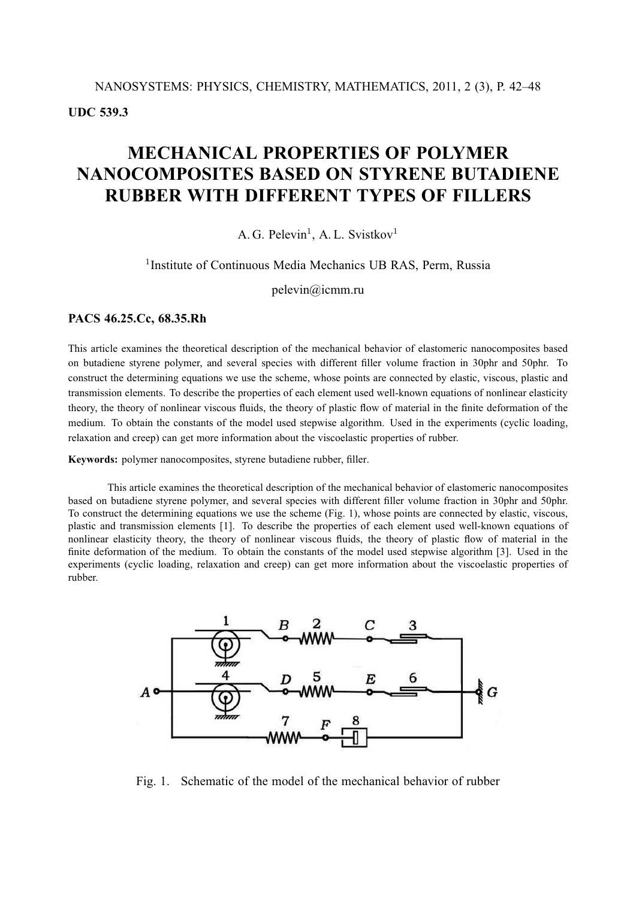**UDC 539.3**

# **MECHANICAL PROPERTIES OF POLYMER NANOCOMPOSITES BASED ON STYRENE BUTADIENE RUBBER WITH DIFFERENT TYPES OF FILLERS**

# A. G. Pelevin<sup>1</sup>, A. L. Svistkov<sup>1</sup>

### <sup>1</sup>Institute of Continuous Media Mechanics UB RAS, Perm, Russia

pelevin@icmm.ru

### **PACS 46.25.Cc, 68.35.Rh**

This article examines the theoretical description of the mechanical behavior of elastomeric nanocomposites based on butadiene styrene polymer, and several species with different filler volume fraction in 30phr and 50phr. To construct the determining equations we use the scheme, whose points are connected by elastic, viscous, plastic and transmission elements. To describe the properties of each element used well-known equations of nonlinear elasticity theory, the theory of nonlinear viscous fluids, the theory of plastic flow of material in the finite deformation of the medium. To obtain the constants of the model used stepwise algorithm. Used in the experiments (cyclic loading, relaxation and creep) can get more information about the viscoelastic properties of rubber.

**Keywords:** polymer nanocomposites, styrene butadiene rubber, filler.

This article examines the theoretical description of the mechanical behavior of elastomeric nanocomposites based on butadiene styrene polymer, and several species with different filler volume fraction in 30phr and 50phr. To construct the determining equations we use the scheme (Fig. 1), whose points are connected by elastic, viscous, plastic and transmission elements [1]. To describe the properties of each element used well-known equations of nonlinear elasticity theory, the theory of nonlinear viscous fluids, the theory of plastic flow of material in the finite deformation of the medium. To obtain the constants of the model used stepwise algorithm [3]. Used in the experiments (cyclic loading, relaxation and creep) can get more information about the viscoelastic properties of rubber.



Fig. 1. Schematic of the model of the mechanical behavior of rubber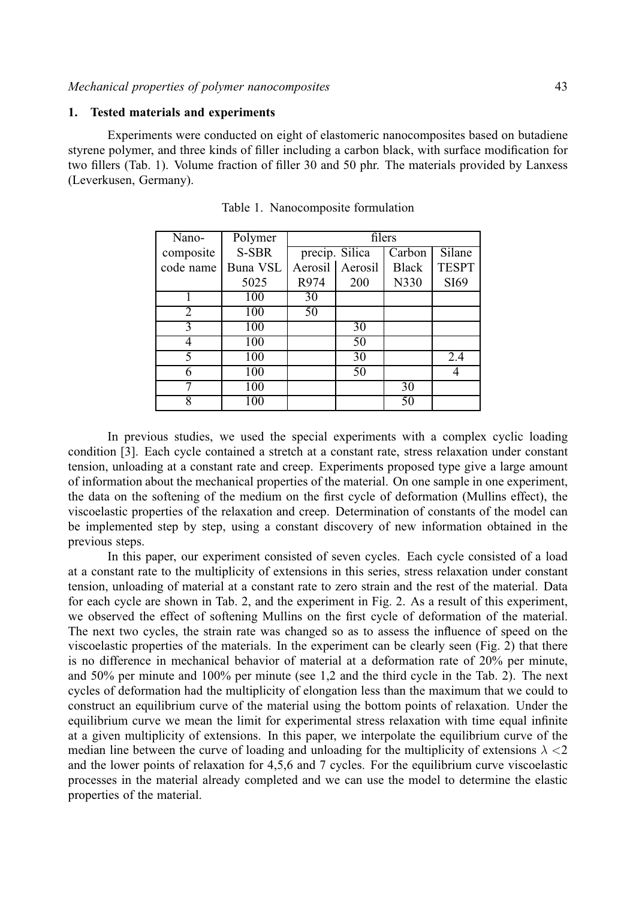#### **1. Tested materials and experiments**

Experiments were conducted on eight of elastomeric nanocomposites based on butadiene styrene polymer, and three kinds of filler including a carbon black, with surface modification for two fillers (Tab. 1). Volume fraction of filler 30 and 50 phr. The materials provided by Lanxess (Leverkusen, Germany).

| Nano-         | Polymer  | filers            |     |                            |              |  |  |
|---------------|----------|-------------------|-----|----------------------------|--------------|--|--|
| composite     | S-SBR    | precip. Silica    |     | $\overline{\text{Carbon}}$ | Silane       |  |  |
| code name     | Buna VSL | Aerosil   Aerosil |     | <b>Black</b>               | <b>TESPT</b> |  |  |
|               | 5025     | R974              | 200 | N330                       | SI69         |  |  |
|               | 100      | 30                |     |                            |              |  |  |
| 2             | 100      | 50                |     |                            |              |  |  |
| $\mathcal{F}$ | 100      |                   | 30  |                            |              |  |  |
| 4             | 100      |                   | 50  |                            |              |  |  |
| 5             | 100      |                   | 30  |                            | 2.4          |  |  |
| 6             | 100      |                   | 50  |                            |              |  |  |
|               | 100      |                   |     | 30                         |              |  |  |
| 8             | 100      |                   |     | 50                         |              |  |  |

Table 1. Nanocomposite formulation

In previous studies, we used the special experiments with a complex cyclic loading condition [3]. Each cycle contained a stretch at a constant rate, stress relaxation under constant tension, unloading at a constant rate and creep. Experiments proposed type give a large amount of information about the mechanical properties of the material. On one sample in one experiment, the data on the softening of the medium on the first cycle of deformation (Mullins effect), the viscoelastic properties of the relaxation and creep. Determination of constants of the model can be implemented step by step, using a constant discovery of new information obtained in the previous steps.

In this paper, our experiment consisted of seven cycles. Each cycle consisted of a load at a constant rate to the multiplicity of extensions in this series, stress relaxation under constant tension, unloading of material at a constant rate to zero strain and the rest of the material. Data for each cycle are shown in Tab. 2, and the experiment in Fig. 2. As a result of this experiment, we observed the effect of softening Mullins on the first cycle of deformation of the material. The next two cycles, the strain rate was changed so as to assess the influence of speed on the viscoelastic properties of the materials. In the experiment can be clearly seen (Fig. 2) that there is no difference in mechanical behavior of material at a deformation rate of 20% per minute, and 50% per minute and 100% per minute (see 1,2 and the third cycle in the Tab. 2). The next cycles of deformation had the multiplicity of elongation less than the maximum that we could to construct an equilibrium curve of the material using the bottom points of relaxation. Under the equilibrium curve we mean the limit for experimental stress relaxation with time equal infinite at a given multiplicity of extensions. In this paper, we interpolate the equilibrium curve of the median line between the curve of loading and unloading for the multiplicity of extensions  $\lambda < 2$ and the lower points of relaxation for 4,5,6 and 7 cycles. For the equilibrium curve viscoelastic processes in the material already completed and we can use the model to determine the elastic properties of the material.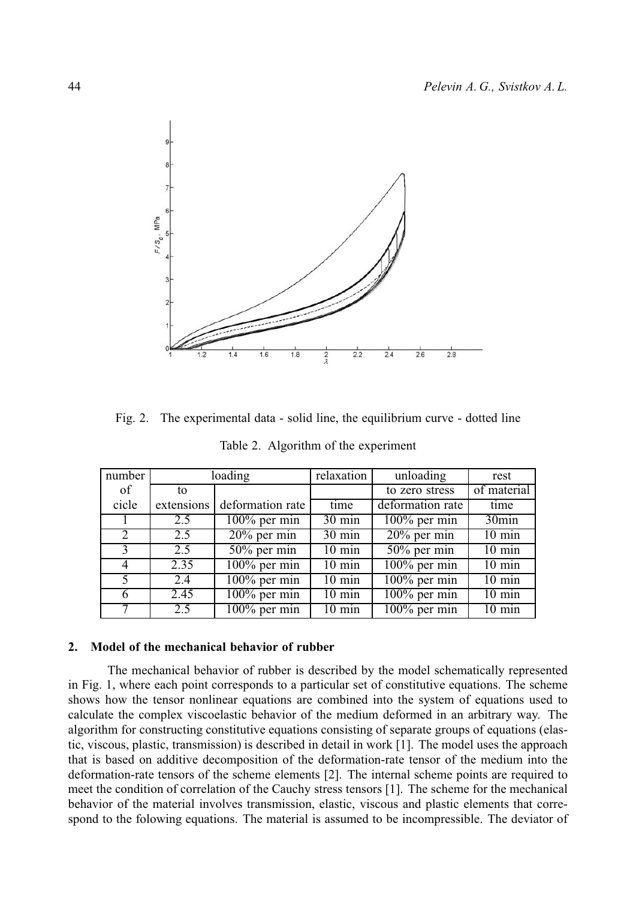

Fig. 2. The experimental data - solid line, the equilibrium curve - dotted line

| number                      | loading       |                  | relaxation          | unloading        | rest              |
|-----------------------------|---------------|------------------|---------------------|------------------|-------------------|
| of                          | to            |                  |                     | to zero stress   | of material       |
| cicle                       | extensions    | deformation rate | time                | deformation rate | time              |
|                             | $2.5^{\circ}$ | $100\%$ per min  | 30 min              | $100\%$ per min  | 30 <sub>min</sub> |
| $\mathcal{D}_{\mathcal{L}}$ | 2.5           | $20\%$ per min   | $30 \text{ min}$    | $20\%$ per min   | $10 \text{ min}$  |
|                             | 2.5           | $50\%$ per min   | $10 \text{ min}$    | $50\%$ per min   | $10 \text{ min}$  |
| $\overline{4}$              | 2.35          | $100\%$ per min  | $10 \text{ min}$    | $100\%$ per min  | $10 \text{ min}$  |
| 5                           | 2.4           | $100\%$ per min  | $10 \text{ min}$    | $100\%$ per min  | $10 \text{ min}$  |
| 6                           | 2.45          | $100\%$ per min  | $10 \text{ min}$    | $100\%$ per min  | $10 \text{ min}$  |
|                             | 2.5           | $100\%$ per min  | $\overline{10}$ min | $100\%$ per min  | $10 \text{ min}$  |

Table 2. Algorithm of the experiment

# **2. Model of the mechanical behavior of rubber**

The mechanical behavior of rubber is described by the model schematically represented in Fig. 1, where each point corresponds to a particular set of constitutive equations. The scheme shows how the tensor nonlinear equations are combined into the system of equations used to calculate the complex viscoelastic behavior of the medium deformed in an arbitrary way. The algorithm for constructing constitutive equations consisting of separate groups of equations (elastic, viscous, plastic, transmission) is described in detail in work [1]. The model uses the approach that is based on additive decomposition of the deformation-rate tensor of the medium into the deformation-rate tensors of the scheme elements [2]. The internal scheme points are required to meet the condition of correlation of the Cauchy stress tensors [1]. The scheme for the mechanical behavior of the material involves transmission, elastic, viscous and plastic elements that correspond to the folowing equations. The material is assumed to be incompressible. The deviator of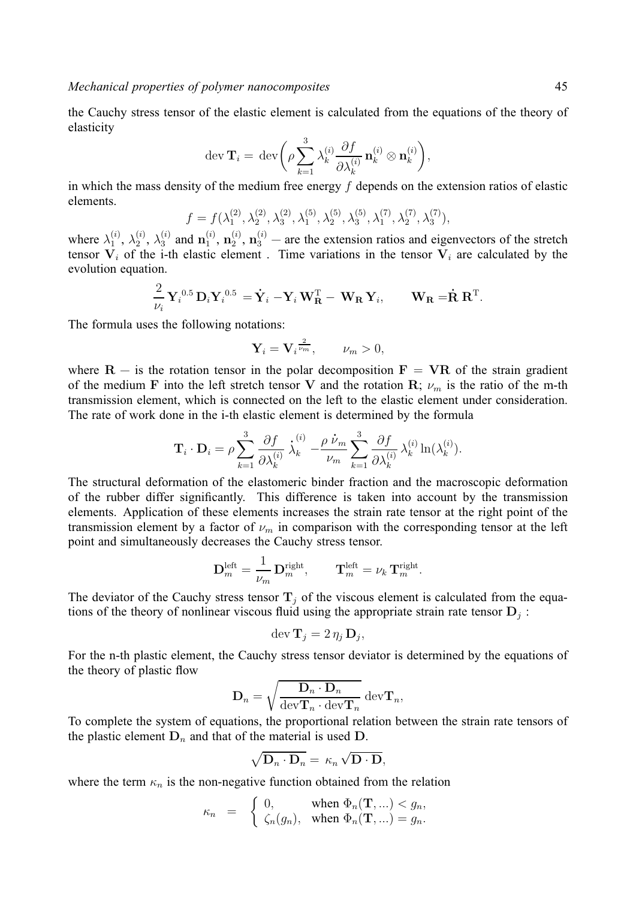the Cauchy stress tensor of the elastic element is calculated from the equations of the theory of elasticity

$$
\operatorname{dev} \mathbf{T}_i = \operatorname{dev} \bigg( \rho \sum_{k=1}^3 \lambda_k^{(i)} \frac{\partial f}{\partial \lambda_k^{(i)}} \mathbf{n}_k^{(i)} \otimes \mathbf{n}_k^{(i)} \bigg),
$$

in which the mass density of the medium free energy  $f$  depends on the extension ratios of elastic elements.

$$
f = f(\lambda_1^{(2)}, \lambda_2^{(2)}, \lambda_3^{(2)}, \lambda_1^{(5)}, \lambda_2^{(5)}, \lambda_3^{(5)}, \lambda_1^{(7)}, \lambda_2^{(7)}, \lambda_3^{(7)}),
$$

where  $\lambda_1^{(i)}$ ,  $\lambda_2^{(i)}$ ,  $\lambda_3^{(i)}$  and  $\mathbf{n}_1^{(i)}$ ,  $\mathbf{n}_2^{(i)}$ ,  $\mathbf{n}_3^{(i)}$  – are the extension ratios and eigenvectors of the stretch tensor  $V_i$  of the i-th elastic element. Time variations in the tensor  $V_i$  are calculated by the evolution equation.

$$
\frac{2}{\nu_i} \mathbf{Y}_i^{0.5} \mathbf{D}_i \mathbf{Y}_i^{0.5} = \dot{\mathbf{Y}}_i - \mathbf{Y}_i \mathbf{W}_{\mathbf{R}}^{\mathrm{T}} - \mathbf{W}_{\mathbf{R}} \mathbf{Y}_i, \qquad \mathbf{W}_{\mathbf{R}} = \dot{\mathbf{R}} \mathbf{R}^{\mathrm{T}}.
$$

The formula uses the following notations:

$$
\mathbf{Y}_i = \mathbf{V}_i^{\frac{2}{\nu_m}}, \qquad \nu_m > 0,
$$

where  $R -$  is the rotation tensor in the polar decomposition  $F = VR$  of the strain gradient of the medium **F** into the left stretch tensor **V** and the rotation **R**;  $\nu_m$  is the ratio of the m-th transmission element, which is connected on the left to the elastic element under consideration. The rate of work done in the i-th elastic element is determined by the formula

$$
\mathbf{T}_{i}\cdot\mathbf{D}_{i}=\rho\sum_{k=1}^{3}\frac{\partial f}{\partial\lambda_{k}^{(i)}}\stackrel{\text{i}}{\lambda_{k}}-\frac{\rho\stackrel{\text{i}}{\nu}_{m}}{\nu_{m}}\sum_{k=1}^{3}\frac{\partial f}{\partial\lambda_{k}^{(i)}}\lambda_{k}^{(i)}\ln(\lambda_{k}^{(i)}).
$$

The structural deformation of the elastomeric binder fraction and the macroscopic deformation of the rubber differ significantly. This difference is taken into account by the transmission elements. Application of these elements increases the strain rate tensor at the right point of the transmission element by a factor of  $\nu_m$  in comparison with the corresponding tensor at the left point and simultaneously decreases the Cauchy stress tensor.

$$
\mathbf{D}^{\text{left}}_m = \frac{1}{\nu_m} \, \mathbf{D}^{\text{right}}_m, \qquad \mathbf{T}^{\text{left}}_m = \nu_k \, \mathbf{T}^{\text{right}}_m.
$$

The deviator of the Cauchy stress tensor  $T_i$  of the viscous element is calculated from the equations of the theory of nonlinear viscous fluid using the appropriate strain rate tensor  $D_i$ :

$$
\operatorname{dev} \mathbf{T}_j = 2 \eta_j \, \mathbf{D}_j,
$$

For the n-th plastic element, the Cauchy stress tensor deviator is determined by the equations of the theory of plastic flow

$$
\mathbf{D}_n = \sqrt{\frac{\mathbf{D}_n \cdot \mathbf{D}_n}{\text{dev}\mathbf{T}_n \cdot \text{dev}\mathbf{T}_n}} \text{ dev}\mathbf{T}_n,
$$

To complete the system of equations, the proportional relation between the strain rate tensors of the plastic element  $D_n$  and that of the material is used  $D$ .

$$
\sqrt{\mathbf{D}_n \cdot \mathbf{D}_n} = \kappa_n \sqrt{\mathbf{D} \cdot \mathbf{D}},
$$

where the term  $\kappa_n$  is the non-negative function obtained from the relation

$$
\kappa_n = \begin{cases} 0, & \text{when } \Phi_n(\mathbf{T}, \ldots) < g_n, \\ \zeta_n(g_n), & \text{when } \Phi_n(\mathbf{T}, \ldots) = g_n. \end{cases}
$$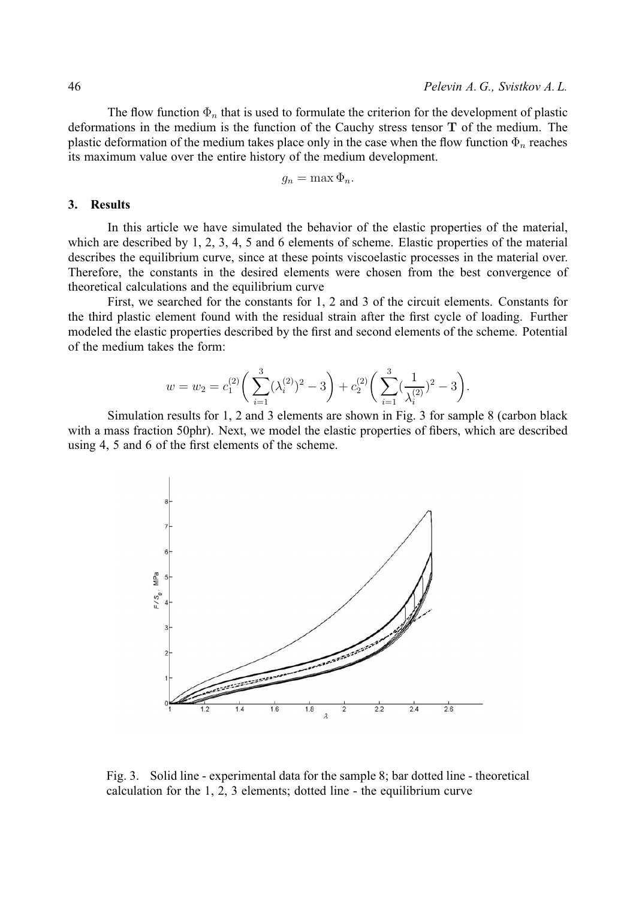The flow function  $\Phi_n$  that is used to formulate the criterion for the development of plastic deformations in the medium is the function of the Cauchy stress tensor **T** of the medium. The plastic deformation of the medium takes place only in the case when the flow function  $\Phi_n$  reaches its maximum value over the entire history of the medium development.

$$
g_n = \max \Phi_n.
$$

# **3. Results**

In this article we have simulated the behavior of the elastic properties of the material, which are described by 1, 2, 3, 4, 5 and 6 elements of scheme. Elastic properties of the material describes the equilibrium curve, since at these points viscoelastic processes in the material over. Therefore, the constants in the desired elements were chosen from the best convergence of theoretical calculations and the equilibrium curve

First, we searched for the constants for 1, 2 and 3 of the circuit elements. Constants for the third plastic element found with the residual strain after the first cycle of loading. Further modeled the elastic properties described by the first and second elements of the scheme. Potential of the medium takes the form:

$$
w = w_2 = c_1^{(2)} \left( \sum_{i=1}^3 (\lambda_i^{(2)})^2 - 3 \right) + c_2^{(2)} \left( \sum_{i=1}^3 (\frac{1}{\lambda_i^{(2)}})^2 - 3 \right).
$$

Simulation results for 1, 2 and 3 elements are shown in Fig. 3 for sample 8 (carbon black with a mass fraction 50phr). Next, we model the elastic properties of fibers, which are described using 4, 5 and 6 of the first elements of the scheme.



Fig. 3. Solid line - experimental data for the sample 8; bar dotted line - theoretical calculation for the 1, 2, 3 elements; dotted line - the equilibrium curve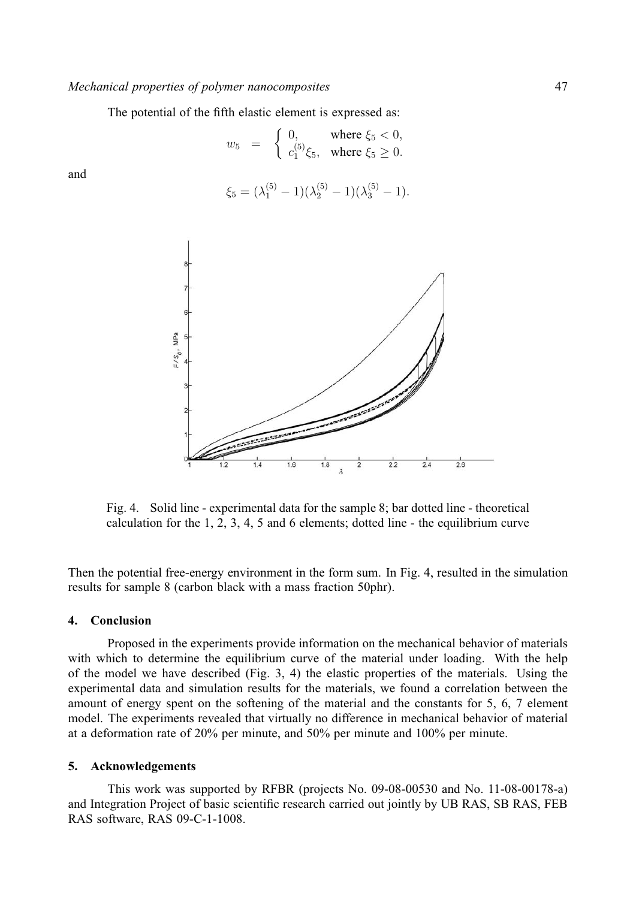The potential of the fifth elastic element is expressed as:

$$
w_5 = \begin{cases} 0, & \text{where } \xi_5 < 0, \\ c_1^{(5)}\xi_5, & \text{where } \xi_5 \ge 0. \end{cases}
$$

and

$$
\xi_5 = (\lambda_1^{(5)} - 1)(\lambda_2^{(5)} - 1)(\lambda_3^{(5)} - 1).
$$



Fig. 4. Solid line - experimental data for the sample 8; bar dotted line - theoretical calculation for the 1, 2, 3, 4, 5 and 6 elements; dotted line - the equilibrium curve

Then the potential free-energy environment in the form sum. In Fig. 4, resulted in the simulation results for sample 8 (carbon black with a mass fraction 50phr).

#### **4. Conclusion**

Proposed in the experiments provide information on the mechanical behavior of materials with which to determine the equilibrium curve of the material under loading. With the help of the model we have described (Fig. 3, 4) the elastic properties of the materials. Using the experimental data and simulation results for the materials, we found a correlation between the amount of energy spent on the softening of the material and the constants for 5, 6, 7 element model. The experiments revealed that virtually no difference in mechanical behavior of material at a deformation rate of 20% per minute, and 50% per minute and 100% per minute.

#### **5. Acknowledgements**

This work was supported by RFBR (projects No. 09-08-00530 and No. 11-08-00178-a) and Integration Project of basic scientific research carried out jointly by UB RAS, SB RAS, FEB RAS software, RAS 09-C-1-1008.